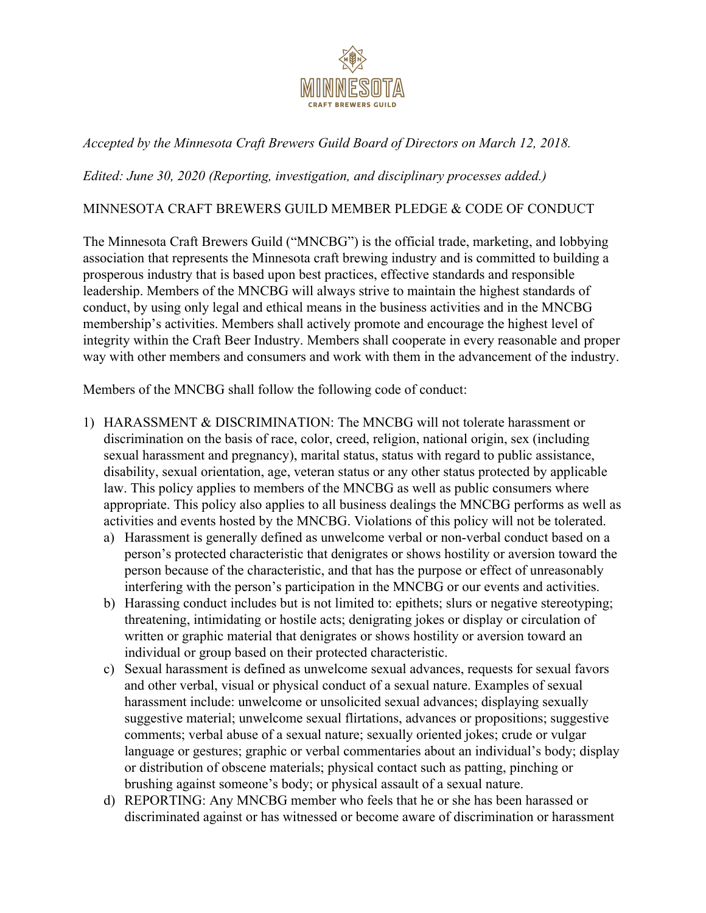

## *Accepted by the Minnesota Craft Brewers Guild Board of Directors on March 12, 2018.*

*Edited: June 30, 2020 (Reporting, investigation, and disciplinary processes added.)*

## MINNESOTA CRAFT BREWERS GUILD MEMBER PLEDGE & CODE OF CONDUCT

The Minnesota Craft Brewers Guild ("MNCBG") is the official trade, marketing, and lobbying association that represents the Minnesota craft brewing industry and is committed to building a prosperous industry that is based upon best practices, effective standards and responsible leadership. Members of the MNCBG will always strive to maintain the highest standards of conduct, by using only legal and ethical means in the business activities and in the MNCBG membership's activities. Members shall actively promote and encourage the highest level of integrity within the Craft Beer Industry. Members shall cooperate in every reasonable and proper way with other members and consumers and work with them in the advancement of the industry.

Members of the MNCBG shall follow the following code of conduct:

- 1) HARASSMENT & DISCRIMINATION: The MNCBG will not tolerate harassment or discrimination on the basis of race, color, creed, religion, national origin, sex (including sexual harassment and pregnancy), marital status, status with regard to public assistance, disability, sexual orientation, age, veteran status or any other status protected by applicable law. This policy applies to members of the MNCBG as well as public consumers where appropriate. This policy also applies to all business dealings the MNCBG performs as well as activities and events hosted by the MNCBG. Violations of this policy will not be tolerated.
	- a) Harassment is generally defined as unwelcome verbal or non-verbal conduct based on a person's protected characteristic that denigrates or shows hostility or aversion toward the person because of the characteristic, and that has the purpose or effect of unreasonably interfering with the person's participation in the MNCBG or our events and activities.
	- b) Harassing conduct includes but is not limited to: epithets; slurs or negative stereotyping; threatening, intimidating or hostile acts; denigrating jokes or display or circulation of written or graphic material that denigrates or shows hostility or aversion toward an individual or group based on their protected characteristic.
	- c) Sexual harassment is defined as unwelcome sexual advances, requests for sexual favors and other verbal, visual or physical conduct of a sexual nature. Examples of sexual harassment include: unwelcome or unsolicited sexual advances; displaying sexually suggestive material; unwelcome sexual flirtations, advances or propositions; suggestive comments; verbal abuse of a sexual nature; sexually oriented jokes; crude or vulgar language or gestures; graphic or verbal commentaries about an individual's body; display or distribution of obscene materials; physical contact such as patting, pinching or brushing against someone's body; or physical assault of a sexual nature.
	- d) REPORTING: Any MNCBG member who feels that he or she has been harassed or discriminated against or has witnessed or become aware of discrimination or harassment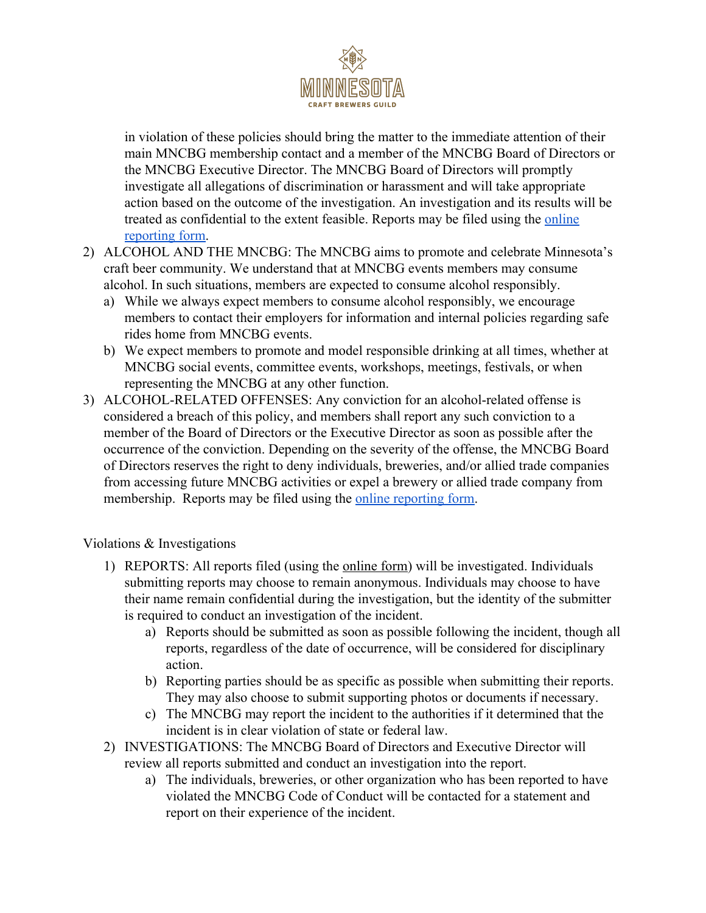

in violation of these policies should bring the matter to the immediate attention of their main MNCBG membership contact and a member of the MNCBG Board of Directors or the MNCBG Executive Director. The MNCBG Board of Directors will promptly investigate all allegations of discrimination or harassment and will take appropriate action based on the outcome of the investigation. An investigation and its results will be treated as confidential to the extent feasible. Reports may be filed using the [online](https://docs.google.com/forms/d/16Md0Fnu2XWLFOpt5O_IqMOGfnWVv6iDQVEOA9QpHVhg/edit) [reporting form](https://docs.google.com/forms/d/16Md0Fnu2XWLFOpt5O_IqMOGfnWVv6iDQVEOA9QpHVhg/edit).

- 2) ALCOHOL AND THE MNCBG: The MNCBG aims to promote and celebrate Minnesota's craft beer community. We understand that at MNCBG events members may consume alcohol. In such situations, members are expected to consume alcohol responsibly.
	- a) While we always expect members to consume alcohol responsibly, we encourage members to contact their employers for information and internal policies regarding safe rides home from MNCBG events.
	- b) We expect members to promote and model responsible drinking at all times, whether at MNCBG social events, committee events, workshops, meetings, festivals, or when representing the MNCBG at any other function.
- 3) ALCOHOL-RELATED OFFENSES: Any conviction for an alcohol-related offense is considered a breach of this policy, and members shall report any such conviction to a member of the Board of Directors or the Executive Director as soon as possible after the occurrence of the conviction. Depending on the severity of the offense, the MNCBG Board of Directors reserves the right to deny individuals, breweries, and/or allied trade companies from accessing future MNCBG activities or expel a brewery or allied trade company from membership. Reports may be filed using the [online reporting form.](https://docs.google.com/forms/d/16Md0Fnu2XWLFOpt5O_IqMOGfnWVv6iDQVEOA9QpHVhg/edit)

Violations & Investigations

- 1) REPORTS: All reports filed (using the [online form\)](https://docs.google.com/forms/d/e/1FAIpQLSejg0-2ggwZwP1jj_Qdy6pbnG8q5QhN2ZiRMF3YZTJw3rx-Zg/viewform) will be investigated. Individuals submitting reports may choose to remain anonymous. Individuals may choose to have their name remain confidential during the investigation, but the identity of the submitter is required to conduct an investigation of the incident.
	- a) Reports should be submitted as soon as possible following the incident, though all reports, regardless of the date of occurrence, will be considered for disciplinary action.
	- b) Reporting parties should be as specific as possible when submitting their reports. They may also choose to submit supporting photos or documents if necessary.
	- c) The MNCBG may report the incident to the authorities if it determined that the incident is in clear violation of state or federal law.
- 2) INVESTIGATIONS: The MNCBG Board of Directors and Executive Director will review all reports submitted and conduct an investigation into the report.
	- a) The individuals, breweries, or other organization who has been reported to have violated the MNCBG Code of Conduct will be contacted for a statement and report on their experience of the incident.